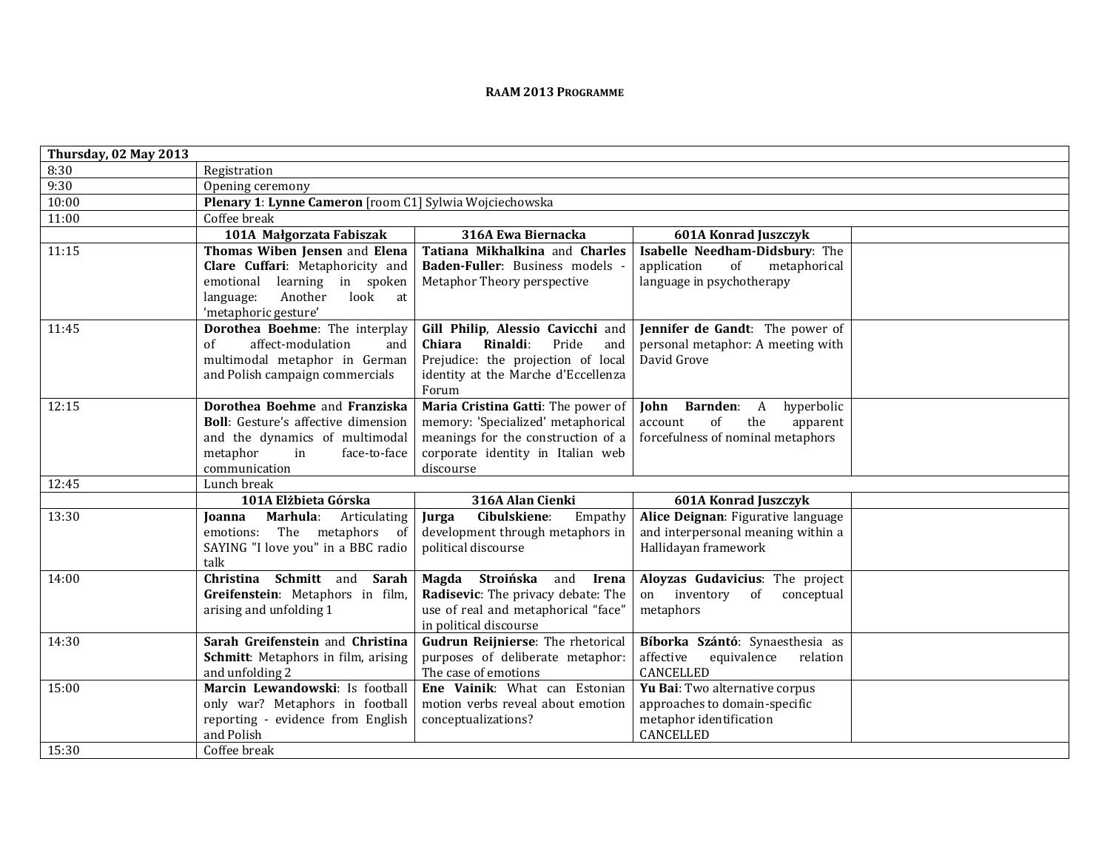## **RAAM <sup>2013</sup> <sup>P</sup>ROGRAMME**

| Thursday, 02 May 2013 |                                                                             |                                                                          |                                                                         |  |  |
|-----------------------|-----------------------------------------------------------------------------|--------------------------------------------------------------------------|-------------------------------------------------------------------------|--|--|
| 8:30                  | Registration                                                                |                                                                          |                                                                         |  |  |
| 9:30                  | Opening ceremony                                                            |                                                                          |                                                                         |  |  |
| 10:00                 | Plenary 1: Lynne Cameron [room C1] Sylwia Wojciechowska                     |                                                                          |                                                                         |  |  |
| 11:00                 | Coffee break                                                                |                                                                          |                                                                         |  |  |
|                       | 101A Małgorzata Fabiszak                                                    | 316A Ewa Biernacka                                                       | <b>601A Konrad Juszczyk</b>                                             |  |  |
| 11:15                 | Thomas Wiben Jensen and Elena                                               | Tatiana Mikhalkina and Charles                                           | Isabelle Needham-Didsbury: The                                          |  |  |
|                       | Clare Cuffari: Metaphoricity and                                            | Baden-Fuller: Business models -                                          | application<br>of<br>metaphorical                                       |  |  |
|                       | emotional<br>learning in spoken                                             | Metaphor Theory perspective                                              | language in psychotherapy                                               |  |  |
|                       | look<br>Another<br>language:<br>at                                          |                                                                          |                                                                         |  |  |
|                       | 'metaphoric gesture'                                                        |                                                                          |                                                                         |  |  |
| 11:45                 | Dorothea Boehme: The interplay                                              | Gill Philip, Alessio Cavicchi and                                        | Jennifer de Gandt: The power of                                         |  |  |
|                       | of<br>affect-modulation<br>and                                              | Rinaldi:<br>Pride<br>Chiara<br>and                                       | personal metaphor: A meeting with                                       |  |  |
|                       | multimodal metaphor in German                                               | Prejudice: the projection of local                                       | David Grove                                                             |  |  |
|                       | and Polish campaign commercials                                             | identity at the Marche d'Eccellenza                                      |                                                                         |  |  |
|                       |                                                                             | Forum                                                                    |                                                                         |  |  |
| 12:15                 | Dorothea Boehme and Franziska<br><b>Boll:</b> Gesture's affective dimension | Maria Cristina Gatti: The power of<br>memory: 'Specialized' metaphorical | Barnden: A<br>hyperbolic<br>John<br>of<br>the<br>apparent<br>account    |  |  |
|                       | and the dynamics of multimodal                                              | meanings for the construction of a                                       | forcefulness of nominal metaphors                                       |  |  |
|                       | metaphor<br>in<br>face-to-face                                              | corporate identity in Italian web                                        |                                                                         |  |  |
|                       | communication                                                               | discourse                                                                |                                                                         |  |  |
| 12:45                 | Lunch break                                                                 |                                                                          |                                                                         |  |  |
|                       | 101A Elżbieta Górska                                                        | 316A Alan Cienki                                                         | <b>601A Konrad Juszczyk</b>                                             |  |  |
| 13:30                 | Marhula:<br>Articulating<br><b>Joanna</b>                                   | Cibulskiene:<br>Empathy<br>Jurga                                         | Alice Deignan: Figurative language                                      |  |  |
|                       | emotions: The metaphors of                                                  | development through metaphors in                                         | and interpersonal meaning within a                                      |  |  |
|                       | SAYING "I love you" in a BBC radio                                          | political discourse                                                      | Hallidayan framework                                                    |  |  |
|                       | talk                                                                        |                                                                          |                                                                         |  |  |
| 14:00                 | Christina Schmitt and<br>Sarah                                              | Magda Stroińska and<br>Irena                                             | Aloyzas Gudavicius: The project                                         |  |  |
|                       | Greifenstein: Metaphors in film,                                            | Radisevic: The privacy debate: The                                       | inventory of<br>conceptual<br>on                                        |  |  |
|                       | arising and unfolding 1                                                     | use of real and metaphorical "face"                                      | metaphors                                                               |  |  |
|                       | Sarah Greifenstein and Christina                                            | in political discourse                                                   |                                                                         |  |  |
| 14:30                 | Schmitt: Metaphors in film, arising                                         | Gudrun Reijnierse: The rhetorical<br>purposes of deliberate metaphor:    | Bíborka Szántó: Synaesthesia as<br>affective<br>equivalence<br>relation |  |  |
|                       | and unfolding 2                                                             | The case of emotions                                                     | CANCELLED                                                               |  |  |
| 15:00                 | Marcin Lewandowski: Is football                                             | Ene Vainik: What can Estonian                                            | Yu Bai: Two alternative corpus                                          |  |  |
|                       | only war? Metaphors in football                                             | motion verbs reveal about emotion                                        | approaches to domain-specific                                           |  |  |
|                       | reporting - evidence from English                                           | conceptualizations?                                                      | metaphor identification                                                 |  |  |
|                       | and Polish                                                                  |                                                                          | CANCELLED                                                               |  |  |
| 15:30                 | Coffee break                                                                |                                                                          |                                                                         |  |  |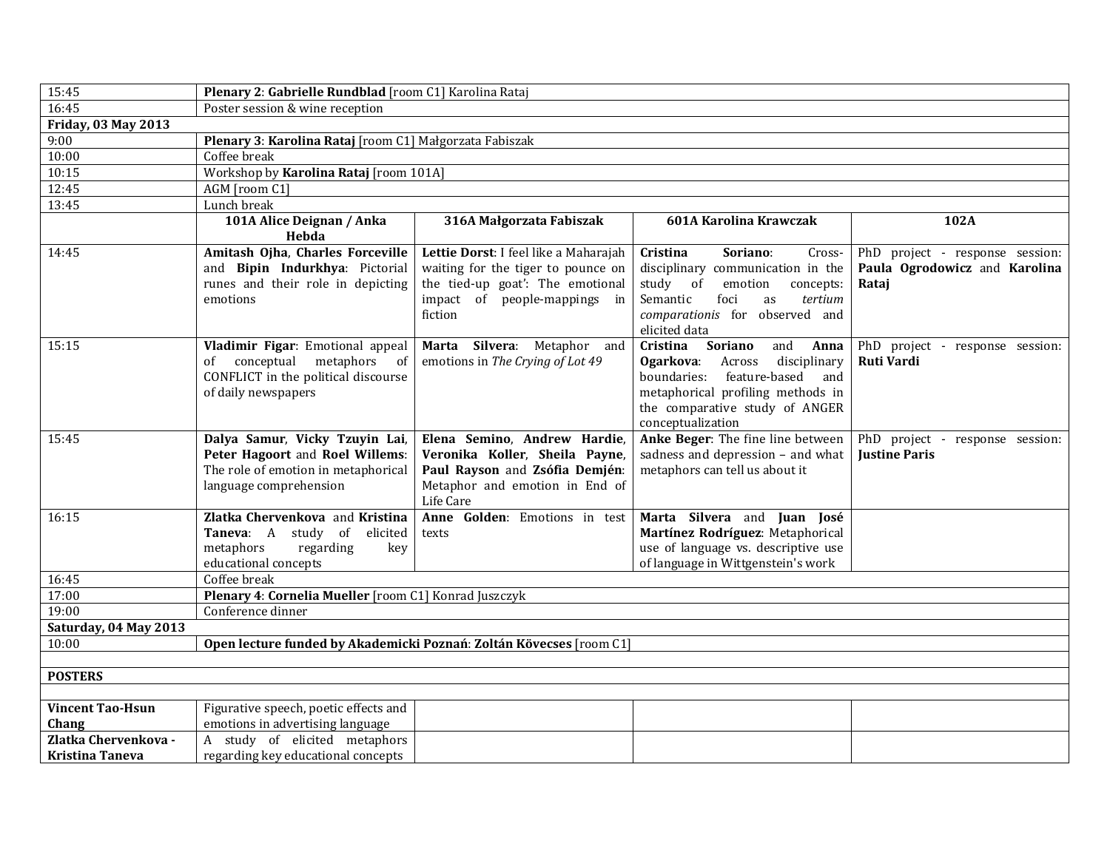| 15:45                      |                                                                                                                                    | Plenary 2: Gabrielle Rundblad [room C1] Karolina Rataj                                                                                                     |                                                                                                                                                                                                        |                                                                           |  |  |
|----------------------------|------------------------------------------------------------------------------------------------------------------------------------|------------------------------------------------------------------------------------------------------------------------------------------------------------|--------------------------------------------------------------------------------------------------------------------------------------------------------------------------------------------------------|---------------------------------------------------------------------------|--|--|
| 16:45                      | Poster session & wine reception                                                                                                    |                                                                                                                                                            |                                                                                                                                                                                                        |                                                                           |  |  |
| <b>Friday, 03 May 2013</b> |                                                                                                                                    |                                                                                                                                                            |                                                                                                                                                                                                        |                                                                           |  |  |
| 9:00                       | Plenary 3: Karolina Rataj [room C1] Małgorzata Fabiszak                                                                            |                                                                                                                                                            |                                                                                                                                                                                                        |                                                                           |  |  |
| 10:00                      | Coffee break                                                                                                                       |                                                                                                                                                            |                                                                                                                                                                                                        |                                                                           |  |  |
| 10:15                      | Workshop by Karolina Rataj [room 101A]                                                                                             |                                                                                                                                                            |                                                                                                                                                                                                        |                                                                           |  |  |
| 12:45                      | AGM [room C1]                                                                                                                      |                                                                                                                                                            |                                                                                                                                                                                                        |                                                                           |  |  |
| 13:45                      | Lunch break                                                                                                                        |                                                                                                                                                            |                                                                                                                                                                                                        |                                                                           |  |  |
|                            | 101A Alice Deignan / Anka<br>Hebda                                                                                                 | 316A Małgorzata Fabiszak                                                                                                                                   | 601A Karolina Krawczak                                                                                                                                                                                 | 102A                                                                      |  |  |
| 14:45                      | Amitash Ojha, Charles Forceville<br>and Bipin Indurkhya: Pictorial<br>runes and their role in depicting<br>emotions                | Lettie Dorst: I feel like a Maharajah<br>waiting for the tiger to pounce on<br>the tied-up goat': The emotional<br>impact of people-mappings in<br>fiction | Cristina<br>Soriano:<br>Cross-<br>disciplinary communication in the<br>study<br>of<br>emotion<br>concepts:<br>Semantic<br>foci<br>as<br>tertium<br>comparationis for observed and<br>elicited data     | PhD project - response session:<br>Paula Ogrodowicz and Karolina<br>Rataj |  |  |
| 15:15                      | Vladimir Figar: Emotional appeal<br>conceptual metaphors of<br>of<br>CONFLICT in the political discourse<br>of daily newspapers    | Marta Silvera: Metaphor<br>and<br>emotions in The Crying of Lot 49                                                                                         | Cristina<br>Soriano<br>and<br>Anna<br>Ogarkova:<br>Across<br>disciplinary<br>boundaries: feature-based and<br>metaphorical profiling methods in<br>the comparative study of ANGER<br>conceptualization | PhD project - response session:<br><b>Ruti Vardi</b>                      |  |  |
| 15:45                      | Dalya Samur, Vicky Tzuyin Lai,<br>Peter Hagoort and Roel Willems:<br>The role of emotion in metaphorical<br>language comprehension | Elena Semino, Andrew Hardie,<br>Veronika Koller, Sheila Payne,<br>Paul Rayson and Zsófia Demjén:<br>Metaphor and emotion in End of<br>Life Care            | Anke Beger: The fine line between<br>sadness and depression - and what<br>metaphors can tell us about it                                                                                               | PhD project - response session:<br><b>Justine Paris</b>                   |  |  |
| 16:15                      | Zlatka Chervenkova and Kristina<br>Taneva: A study of elicited<br>metaphors<br>regarding<br>key<br>educational concepts            | Anne Golden: Emotions in test<br>texts                                                                                                                     | Marta Silvera and Juan José<br>Martínez Rodríguez: Metaphorical<br>use of language vs. descriptive use<br>of language in Wittgenstein's work                                                           |                                                                           |  |  |
| 16:45                      | Coffee break                                                                                                                       |                                                                                                                                                            |                                                                                                                                                                                                        |                                                                           |  |  |
| 17:00                      | Plenary 4: Cornelia Mueller [room C1] Konrad Juszczyk                                                                              |                                                                                                                                                            |                                                                                                                                                                                                        |                                                                           |  |  |
| 19:00                      | Conference dinner                                                                                                                  |                                                                                                                                                            |                                                                                                                                                                                                        |                                                                           |  |  |
| Saturday, 04 May 2013      |                                                                                                                                    |                                                                                                                                                            |                                                                                                                                                                                                        |                                                                           |  |  |
| 10:00                      |                                                                                                                                    | Open lecture funded by Akademicki Poznań: Zoltán Kövecses [room C1]                                                                                        |                                                                                                                                                                                                        |                                                                           |  |  |
|                            |                                                                                                                                    |                                                                                                                                                            |                                                                                                                                                                                                        |                                                                           |  |  |
| <b>POSTERS</b>             |                                                                                                                                    |                                                                                                                                                            |                                                                                                                                                                                                        |                                                                           |  |  |
|                            |                                                                                                                                    |                                                                                                                                                            |                                                                                                                                                                                                        |                                                                           |  |  |
| <b>Vincent Tao-Hsun</b>    | Figurative speech, poetic effects and                                                                                              |                                                                                                                                                            |                                                                                                                                                                                                        |                                                                           |  |  |
| Chang                      | emotions in advertising language                                                                                                   |                                                                                                                                                            |                                                                                                                                                                                                        |                                                                           |  |  |
| Zlatka Chervenkova -       | A study of elicited metaphors                                                                                                      |                                                                                                                                                            |                                                                                                                                                                                                        |                                                                           |  |  |
| Kristina Taneva            | regarding key educational concepts                                                                                                 |                                                                                                                                                            |                                                                                                                                                                                                        |                                                                           |  |  |